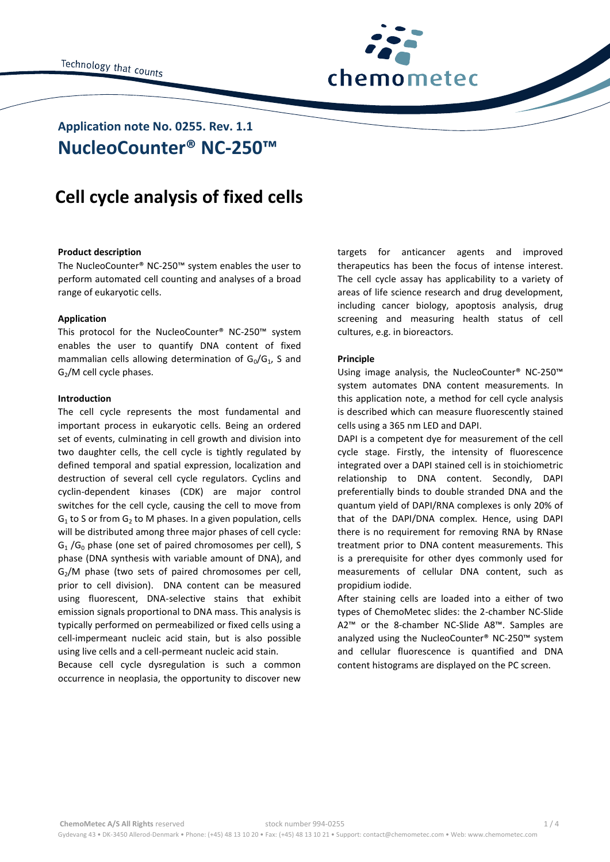

# **NucleoCounter® NC-250™ Application note No. 0255. Rev. 1.1**

# **Cell cycle analysis of fixed cells**

# **Product description**

The NucleoCounter® NC-250™ system enables the user to perform automated cell counting and analyses of a broad range of eukaryotic cells.

## **Application**

This protocol for the NucleoCounter® NC-250™ system enables the user to quantify DNA content of fixed mammalian cells allowing determination of  $G_0/G_1$ , S and  $G<sub>2</sub>/M$  cell cycle phases.

### **Introduction**

The cell cycle represents the most fundamental and important process in eukaryotic cells. Being an ordered set of events, culminating in cell growth and division into two daughter cells, the cell cycle is tightly regulated by defined temporal and spatial expression, localization and destruction of several cell cycle regulators. Cyclins and cyclin-dependent kinases (CDK) are major control switches for the cell cycle, causing the cell to move from  $G_1$  to S or from  $G_2$  to M phases. In a given population, cells will be distributed among three major phases of cell cycle:  $G_1/G_0$  phase (one set of paired chromosomes per cell), S phase (DNA synthesis with variable amount of DNA), and  $G<sub>2</sub>/M$  phase (two sets of paired chromosomes per cell, prior to cell division). DNA content can be measured using fluorescent, DNA-selective stains that exhibit emission signals proportional to DNA mass. This analysis is typically performed on permeabilized or fixed cells using a cell-impermeant nucleic acid stain, but is also possible using live cells and a cell-permeant nucleic acid stain.

Because cell cycle dysregulation is such a common occurrence in neoplasia, the opportunity to discover new

targets for anticancer agents and improved therapeutics has been the focus of intense interest. The cell cycle assay has applicability to a variety of areas of life science research and drug development, including cancer biology, apoptosis analysis, drug screening and measuring health status of cell cultures, e.g. in bioreactors.

# **Principle**

Using image analysis, the NucleoCounter® NC-250™ system automates DNA content measurements. In this application note, a method for cell cycle analysis is described which can measure fluorescently stained cells using a 365 nm LED and DAPI.

DAPI is a competent dye for measurement of the cell cycle stage. Firstly, the intensity of fluorescence integrated over a DAPI stained cell is in stoichiometric relationship to DNA content. Secondly, DAPI preferentially binds to double stranded DNA and the quantum yield of DAPI/RNA complexes is only 20% of that of the DAPI/DNA complex. Hence, using DAPI there is no requirement for removing RNA by RNase treatment prior to DNA content measurements. This is a prerequisite for other dyes commonly used for measurements of cellular DNA content, such as propidium iodide.

After staining cells are loaded into a either of two types of ChemoMetec slides: the 2-chamber NC-Slide A2™ or the 8-chamber NC-Slide A8™. Samples are analyzed using the NucleoCounter® NC-250™ system and cellular fluorescence is quantified and DNA content histograms are displayed on the PC screen.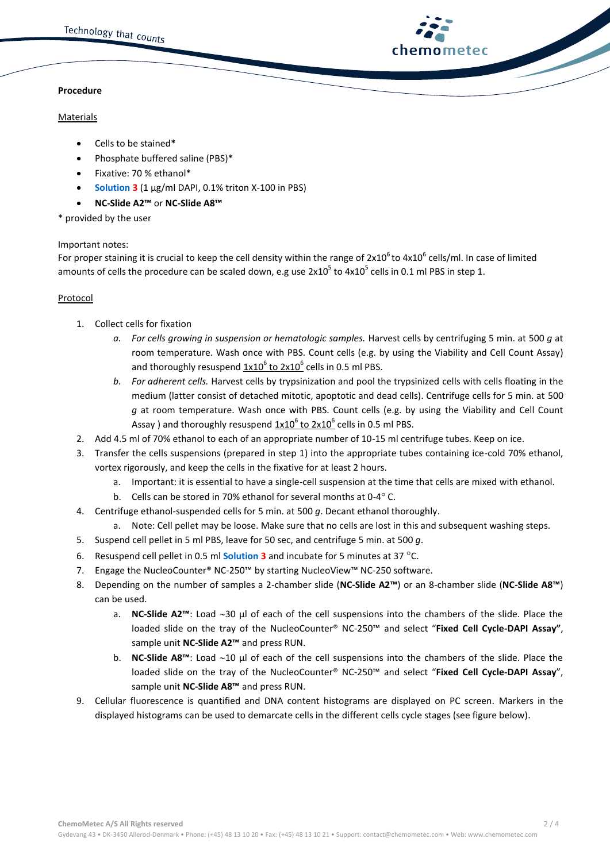# **chemometec**

# **Procedure**

# **Materials**

- Cells to be stained\*
- Phosphate buffered saline (PBS)\*
- Fixative: 70 % ethanol\*
- **Solution 3** (1 µg/ml DAPI, 0.1% triton X-100 in PBS)
- **NC-Slide A2™** or **NC-Slide A8™**

# \* provided by the user

# Important notes:

For proper staining it is crucial to keep the cell density within the range of  $2x10^6$  to  $4x10^6$  cells/ml. In case of limited amounts of cells the procedure can be scaled down, e.g use  $2x10^5$  to  $4x10^5$  cells in 0.1 ml PBS in step 1.

# Protocol

- 1. Collect cells for fixation
	- *a. For cells growing in suspension or hematologic samples.* Harvest cells by centrifuging 5 min. at 500 *g* at room temperature. Wash once with PBS. Count cells (e.g. by using the Viability and Cell Count Assay) and thoroughly resuspend  $1x10^6$  to  $2x10^6$  cells in 0.5 ml PBS.
	- *b. For adherent cells.* Harvest cells by trypsinization and pool the trypsinized cells with cells floating in the medium (latter consist of detached mitotic, apoptotic and dead cells). Centrifuge cells for 5 min. at 500 *g* at room temperature. Wash once with PBS. Count cells (e.g. by using the Viability and Cell Count Assay ) and thoroughly resuspend  $\underline{1x10}^6$  to  $\overline{2x10}^6$  cells in 0.5 ml PBS.
- 2. Add 4.5 ml of 70% ethanol to each of an appropriate number of 10-15 ml centrifuge tubes. Keep on ice.
- 3. Transfer the cells suspensions (prepared in step 1) into the appropriate tubes containing ice-cold 70% ethanol, vortex rigorously, and keep the cells in the fixative for at least 2 hours.
	- a. Important: it is essential to have a single-cell suspension at the time that cells are mixed with ethanol.
	- b. Cells can be stored in 70% ethanol for several months at 0-4 $^{\circ}$  C.
- 4. Centrifuge ethanol-suspended cells for 5 min. at 500 *g*. Decant ethanol thoroughly.
	- a. Note: Cell pellet may be loose. Make sure that no cells are lost in this and subsequent washing steps.
- 5. Suspend cell pellet in 5 ml PBS, leave for 50 sec, and centrifuge 5 min. at 500 *g*.
- 6. Resuspend cell pellet in 0.5 ml **Solution 3** and incubate for 5 minutes at 37 C.
- 7. Engage the NucleoCounter® NC-250™ by starting NucleoView™ NC-250 software.
- 8. Depending on the number of samples a 2-chamber slide (**NC-Slide A2™**) or an 8-chamber slide (**NC-Slide A8™**) can be used.
	- a. **NC-Slide A2<sup>™</sup>:** Load ~30 µl of each of the cell suspensions into the chambers of the slide. Place the loaded slide on the tray of the NucleoCounter® NC-250™ and select "**Fixed Cell Cycle-DAPI Assay"**, sample unit **NC-Slide A2™** and press RUN.
	- **b. NC-Slide A8**<sup> $™$ </sup>: Load  $\sim$ 10 µl of each of the cell suspensions into the chambers of the slide. Place the loaded slide on the tray of the NucleoCounter® NC-250™ and select "**Fixed Cell Cycle-DAPI Assay**", sample unit **NC-Slide A8™** and press RUN.
- 9. Cellular fluorescence is quantified and DNA content histograms are displayed on PC screen. Markers in the displayed histograms can be used to demarcate cells in the different cells cycle stages (see figure below).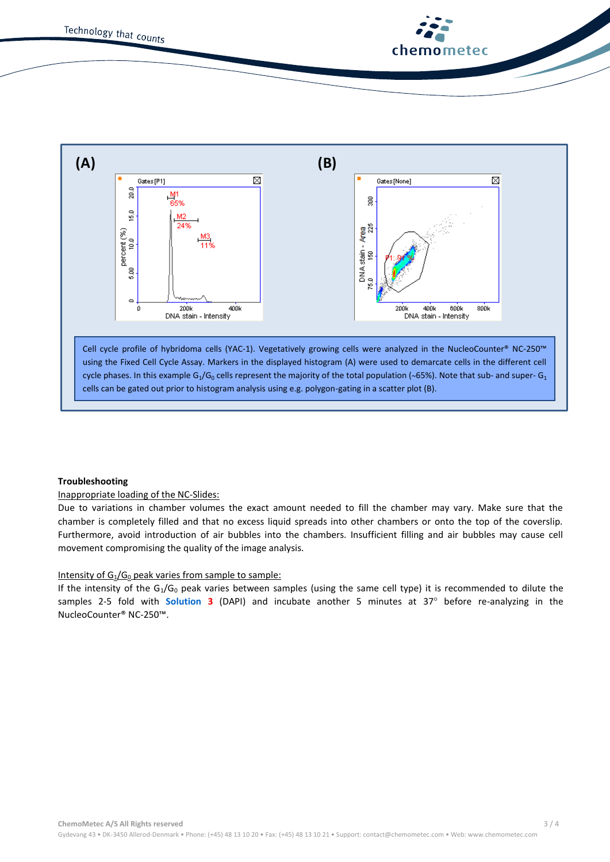



# **Troubleshooting**

# Inappropriate loading of the NC-Slides:

Due to variations in chamber volumes the exact amount needed to fill the chamber may vary. Make sure that the chamber is completely filled and that no excess liquid spreads into other chambers or onto the top of the coverslip. Furthermore, avoid introduction of air bubbles into the chambers. Insufficient filling and air bubbles may cause cell movement compromising the quality of the image analysis.

# Intensity of  $G_1/G_0$  peak varies from sample to sample:

If the intensity of the  $G_1/G_0$  peak varies between samples (using the same cell type) it is recommended to dilute the samples 2-5 fold with **Solution 3** (DAPI) and incubate another 5 minutes at 37° before re-analyzing in the NucleoCounter® NC-250™.